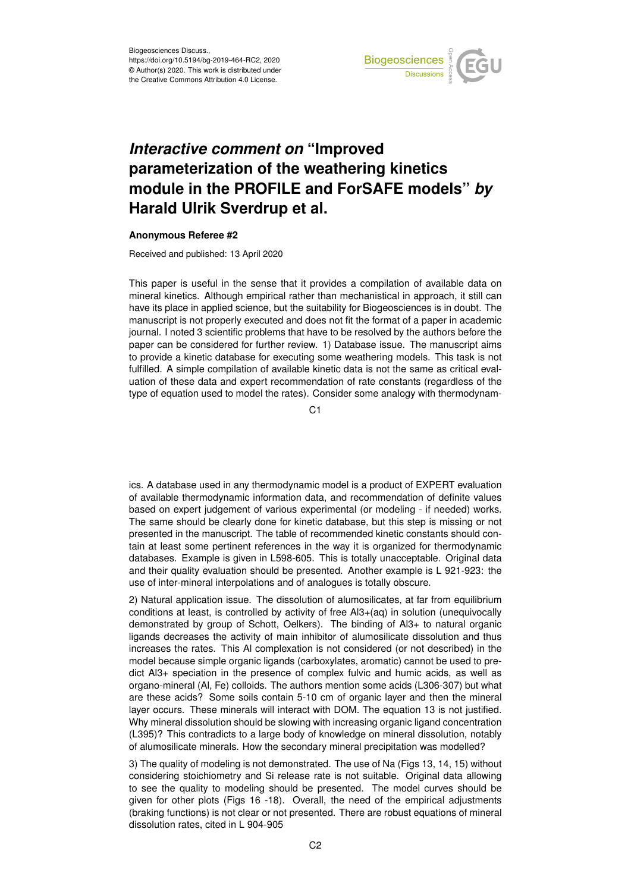

## *Interactive comment on* **"Improved parameterization of the weathering kinetics module in the PROFILE and ForSAFE models"** *by* **Harald Ulrik Sverdrup et al.**

## **Anonymous Referee #2**

Received and published: 13 April 2020

This paper is useful in the sense that it provides a compilation of available data on mineral kinetics. Although empirical rather than mechanistical in approach, it still can have its place in applied science, but the suitability for Biogeosciences is in doubt. The manuscript is not properly executed and does not fit the format of a paper in academic journal. I noted 3 scientific problems that have to be resolved by the authors before the paper can be considered for further review. 1) Database issue. The manuscript aims to provide a kinetic database for executing some weathering models. This task is not fulfilled. A simple compilation of available kinetic data is not the same as critical evaluation of these data and expert recommendation of rate constants (regardless of the type of equation used to model the rates). Consider some analogy with thermodynam-

C<sub>1</sub>

ics. A database used in any thermodynamic model is a product of EXPERT evaluation of available thermodynamic information data, and recommendation of definite values based on expert judgement of various experimental (or modeling - if needed) works. The same should be clearly done for kinetic database, but this step is missing or not presented in the manuscript. The table of recommended kinetic constants should contain at least some pertinent references in the way it is organized for thermodynamic databases. Example is given in L598-605. This is totally unacceptable. Original data and their quality evaluation should be presented. Another example is L 921-923: the use of inter-mineral interpolations and of analogues is totally obscure.

2) Natural application issue. The dissolution of alumosilicates, at far from equilibrium conditions at least, is controlled by activity of free Al3+(aq) in solution (unequivocally demonstrated by group of Schott, Oelkers). The binding of Al3+ to natural organic ligands decreases the activity of main inhibitor of alumosilicate dissolution and thus increases the rates. This Al complexation is not considered (or not described) in the model because simple organic ligands (carboxylates, aromatic) cannot be used to predict Al3+ speciation in the presence of complex fulvic and humic acids, as well as organo-mineral (Al, Fe) colloids. The authors mention some acids (L306-307) but what are these acids? Some soils contain 5-10 cm of organic layer and then the mineral layer occurs. These minerals will interact with DOM. The equation 13 is not justified. Why mineral dissolution should be slowing with increasing organic ligand concentration (L395)? This contradicts to a large body of knowledge on mineral dissolution, notably of alumosilicate minerals. How the secondary mineral precipitation was modelled?

3) The quality of modeling is not demonstrated. The use of Na (Figs 13, 14, 15) without considering stoichiometry and Si release rate is not suitable. Original data allowing to see the quality to modeling should be presented. The model curves should be given for other plots (Figs 16 -18). Overall, the need of the empirical adjustments (braking functions) is not clear or not presented. There are robust equations of mineral dissolution rates, cited in L 904-905